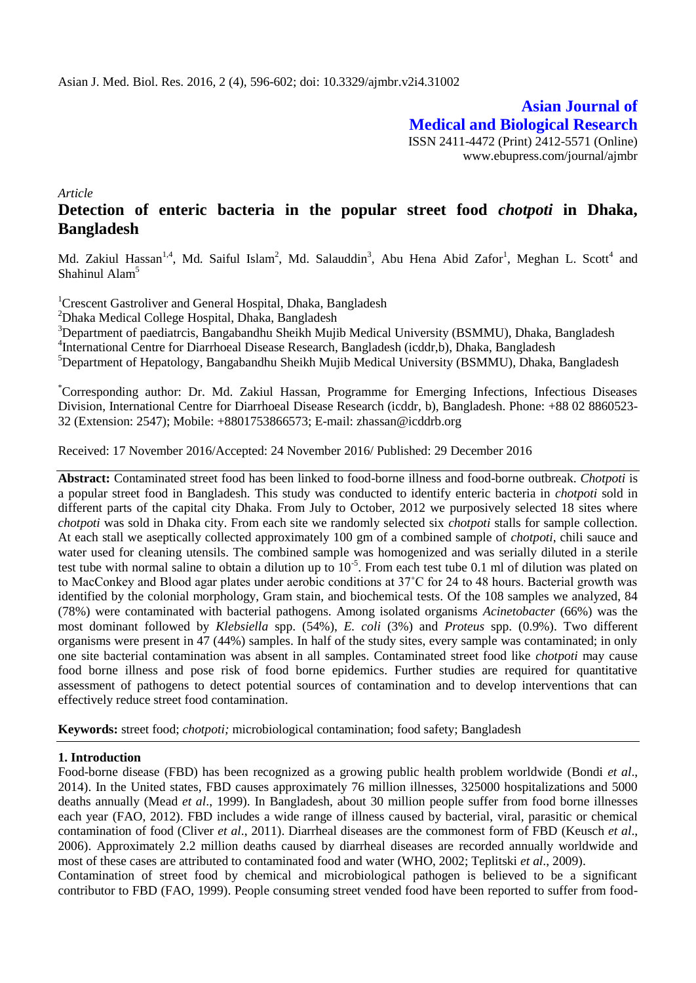**Asian Journal of Medical and Biological Research** ISSN 2411-4472 (Print) 2412-5571 (Online) www.ebupress.com/journal/ajmbr

*Article*

# **Detection of enteric bacteria in the popular street food** *chotpoti* **in Dhaka, Bangladesh**

Md. Zakiul Hassan<sup>1,4</sup>, Md. Saiful Islam<sup>2</sup>, Md. Salauddin<sup>3</sup>, Abu Hena Abid Zafor<sup>1</sup>, Meghan L. Scott<sup>4</sup> and Shahinul Alam<sup>5</sup>

<sup>1</sup>Crescent Gastroliver and General Hospital, Dhaka, Bangladesh

<sup>2</sup>Dhaka Medical College Hospital, Dhaka, Bangladesh

<sup>3</sup>Department of paediatrcis, Bangabandhu Sheikh Mujib Medical University (BSMMU), Dhaka, Bangladesh

4 International Centre for Diarrhoeal Disease Research, Bangladesh (icddr,b), Dhaka, Bangladesh

<sup>5</sup>Department of Hepatology, Bangabandhu Sheikh Mujib Medical University (BSMMU), Dhaka, Bangladesh

\*Corresponding author: Dr. Md. Zakiul Hassan, Programme for Emerging Infections, Infectious Diseases Division, International Centre for Diarrhoeal Disease Research (icddr, b), Bangladesh. Phone: +88 02 8860523- 32 (Extension: 2547); Mobile: [+8801753866573;](mailto:+8801753866573) E-mail: [zhassan@icddrb.org](mailto:zhassan@icddrb.org)

Received: 17 November 2016/Accepted: 24 November 2016/ Published: 29 December 2016

**Abstract:** Contaminated street food has been linked to food-borne illness and food-borne outbreak. *Chotpoti* is a popular street food in Bangladesh. This study was conducted to identify enteric bacteria in *chotpoti* sold in different parts of the capital city Dhaka. From July to October, 2012 we purposively selected 18 sites where *chotpoti* was sold in Dhaka city. From each site we randomly selected six *chotpoti* stalls for sample collection. At each stall we aseptically collected approximately 100 gm of a combined sample of *chotpoti*, chili sauce and water used for cleaning utensils. The combined sample was homogenized and was serially diluted in a sterile test tube with normal saline to obtain a dilution up to  $10^{-5}$ . From each test tube 0.1 ml of dilution was plated on to MacConkey and Blood agar plates under aerobic conditions at 37˚C for 24 to 48 hours. Bacterial growth was identified by the colonial morphology, Gram stain, and biochemical tests. Of the 108 samples we analyzed, 84 (78%) were contaminated with bacterial pathogens. Among isolated organisms *Acinetobacter* (66%) was the most dominant followed by *Klebsiella* spp. (54%), *E. coli* (3%) and *Proteus* spp. (0.9%). Two different organisms were present in 47 (44%) samples. In half of the study sites, every sample was contaminated; in only one site bacterial contamination was absent in all samples. Contaminated street food like *chotpoti* may cause food borne illness and pose risk of food borne epidemics. Further studies are required for quantitative assessment of pathogens to detect potential sources of contamination and to develop interventions that can effectively reduce street food contamination.

**Keywords:** street food; *chotpoti;* microbiological contamination; food safety; Bangladesh

## **1. Introduction**

Food-borne disease (FBD) has been recognized as a growing public health problem worldwide (Bondi *et al*., 2014). In the United states, FBD causes approximately 76 million illnesses, 325000 hospitalizations and 5000 deaths annually (Mead *et al*., 1999). In Bangladesh, about 30 million people suffer from food borne illnesses each year (FAO, 2012). FBD includes a wide range of illness caused by bacterial, viral, parasitic or chemical contamination of food (Cliver *et al*., 2011). Diarrheal diseases are the commonest form of FBD (Keusch *et al*., 2006). Approximately 2.2 million deaths caused by diarrheal diseases are recorded annually worldwide and most of these cases are attributed to contaminated food and water (WHO, 2002; Teplitski *et al*., 2009). Contamination of street food by chemical and microbiological pathogen is believed to be a significant contributor to FBD (FAO, 1999). People consuming street vended food have been reported to suffer from food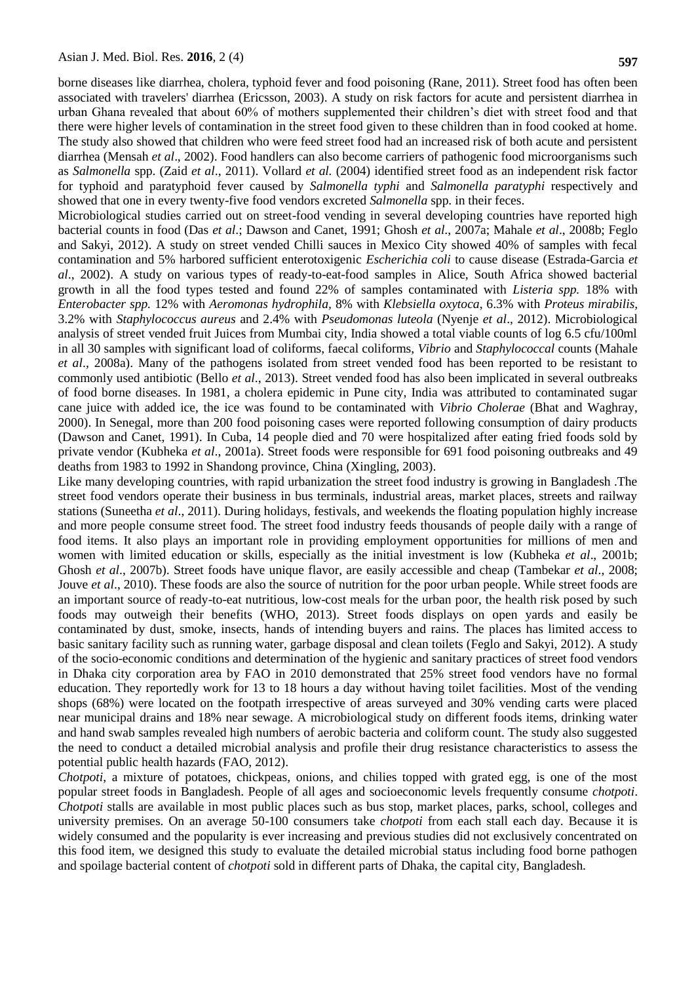borne diseases like diarrhea, cholera, typhoid fever and food poisoning (Rane, 2011). Street food has often been associated with travelers' diarrhea (Ericsson, 2003). A study on risk factors for acute and persistent diarrhea in urban Ghana revealed that about 60% of mothers supplemented their children's diet with street food and that there were higher levels of contamination in the street food given to these children than in food cooked at home. The study also showed that children who were feed street food had an increased risk of both acute and persistent diarrhea (Mensah *et al*., 2002). Food handlers can also become carriers of pathogenic food microorganisms such as *Salmonella* spp. (Zaid *et al*., 2011). Vollard *et al.* (2004) identified street food as an independent risk factor for typhoid and paratyphoid fever caused by *Salmonella typhi* and *Salmonella paratyphi* respectively and showed that one in every twenty-five food vendors excreted *Salmonella* spp. in their feces.

Microbiological studies carried out on street-food vending in several developing countries have reported high bacterial counts in food (Das *et al*.; Dawson and Canet, 1991; Ghosh *et al*., 2007a; Mahale *et al*., 2008b; Feglo and Sakyi, 2012). A study on street vended Chilli sauces in Mexico City showed 40% of samples with fecal contamination and 5% harbored sufficient enterotoxigenic *Escherichia coli* to cause disease (Estrada-Garcia *et al*., 2002). A study on various types of ready-to-eat-food samples in Alice, South Africa showed bacterial growth in all the food types tested and found 22% of samples contaminated with *Listeria spp.* 18% with *Enterobacter spp.* 12% with *Aeromonas hydrophila,* 8% with *Klebsiella oxytoca*, 6.3% with *Proteus mirabilis,*  3.2% with *Staphylococcus aureus* and 2.4% with *Pseudomonas luteola* (Nyenje *et al*., 2012). Microbiological analysis of street vended fruit Juices from Mumbai city, India showed a total viable counts of log 6.5 cfu/100ml in all 30 samples with significant load of coliforms, faecal coliforms, *Vibrio* and *Staphylococcal* counts (Mahale *et al*., 2008a). Many of the pathogens isolated from street vended food has been reported to be resistant to commonly used antibiotic (Bello *et al*., 2013). Street vended food has also been implicated in several outbreaks of food borne diseases. In 1981, a cholera epidemic in Pune city, India was attributed to contaminated sugar cane juice with added ice, the ice was found to be contaminated with *Vibrio Cholerae* (Bhat and Waghray, 2000). In Senegal, more than 200 food poisoning cases were reported following consumption of dairy products (Dawson and Canet, 1991). In Cuba, 14 people died and 70 were hospitalized after eating fried foods sold by private vendor (Kubheka *et al*., 2001a). Street foods were responsible for 691 food poisoning outbreaks and 49 deaths from 1983 to 1992 in Shandong province, China (Xingling, 2003).

Like many developing countries, with rapid urbanization the street food industry is growing in Bangladesh .The street food vendors operate their business in bus terminals, industrial areas, market places, streets and railway stations (Suneetha *et al*., 2011). During holidays, festivals, and weekends the floating population highly increase and more people consume street food. The street food industry feeds thousands of people daily with a range of food items. It also plays an important role in providing employment opportunities for millions of men and women with limited education or skills, especially as the initial investment is low (Kubheka *et al*., 2001b; Ghosh *et al*., 2007b). Street foods have unique flavor, are easily accessible and cheap (Tambekar *et al*., 2008; Jouve *et al*., 2010). These foods are also the source of nutrition for the poor urban people. While street foods are an important source of ready-to-eat nutritious, low-cost meals for the urban poor, the health risk posed by such foods may outweigh their benefits (WHO, 2013). Street foods displays on open yards and easily be contaminated by dust, smoke, insects, hands of intending buyers and rains. The places has limited access to basic sanitary facility such as running water, garbage disposal and clean toilets (Feglo and Sakyi, 2012). A study of the socio-economic conditions and determination of the hygienic and sanitary practices of street food vendors in Dhaka city corporation area by FAO in 2010 demonstrated that 25% street food vendors have no formal education. They reportedly work for 13 to 18 hours a day without having toilet facilities. Most of the vending shops (68%) were located on the footpath irrespective of areas surveyed and 30% vending carts were placed near municipal drains and 18% near sewage. A microbiological study on different foods items, drinking water and hand swab samples revealed high numbers of aerobic bacteria and coliform count. The study also suggested the need to conduct a detailed microbial analysis and profile their drug resistance characteristics to assess the potential public health hazards (FAO, 2012).

*Chotpoti*, a mixture of potatoes, chickpeas, onions, and chilies topped with grated egg, is one of the most popular street foods in Bangladesh. People of all ages and socioeconomic levels frequently consume *chotpoti*. *Chotpoti* stalls are available in most public places such as bus stop, market places, parks, school, colleges and university premises. On an average 50-100 consumers take *chotpoti* from each stall each day. Because it is widely consumed and the popularity is ever increasing and previous studies did not exclusively concentrated on this food item, we designed this study to evaluate the detailed microbial status including food borne pathogen and spoilage bacterial content of *chotpoti* sold in different parts of Dhaka, the capital city, Bangladesh.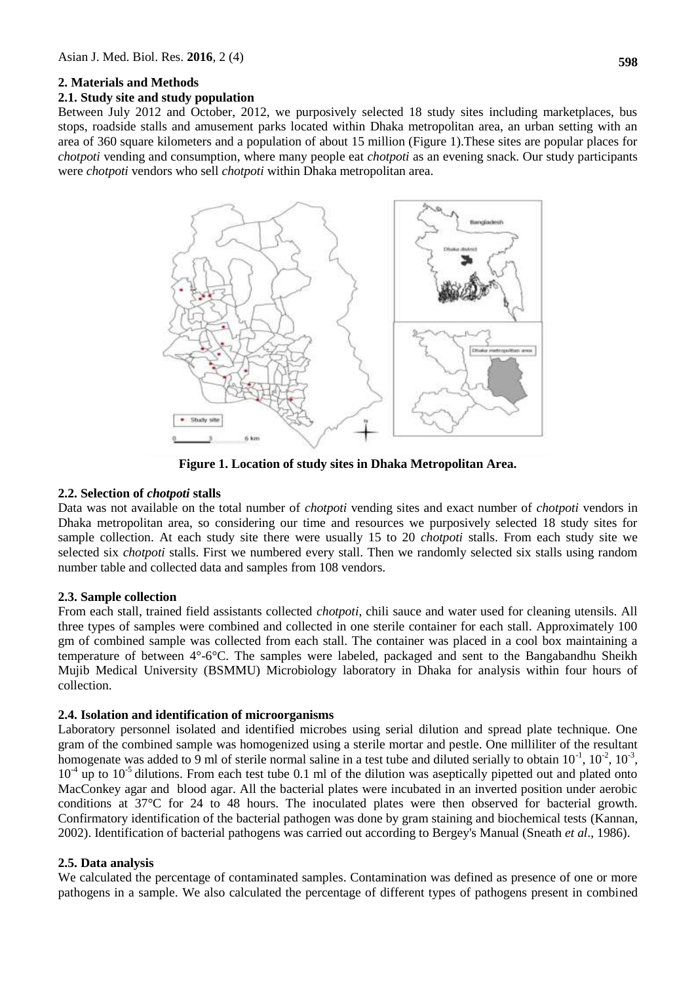## **2. Materials and Methods**

#### **2.1. Study site and study population**

Between July 2012 and October, 2012, we purposively selected 18 study sites including marketplaces, bus stops, roadside stalls and amusement parks located within Dhaka metropolitan area, an urban setting with an area of 360 square kilometers and a population of about 15 million (Figure 1).These sites are popular places for *chotpoti* vending and consumption, where many people eat *chotpoti* as an evening snack. Our study participants were *chotpoti* vendors who sell *chotpoti* within Dhaka metropolitan area.



**Figure 1. Location of study sites in Dhaka Metropolitan Area.**

## **2.2. Selection of** *chotpoti* **stalls**

Data was not available on the total number of *chotpoti* vending sites and exact number of *chotpoti* vendors in Dhaka metropolitan area, so considering our time and resources we purposively selected 18 study sites for sample collection. At each study site there were usually 15 to 20 *chotpoti* stalls. From each study site we selected six *chotpoti* stalls. First we numbered every stall. Then we randomly selected six stalls using random number table and collected data and samples from 108 vendors.

#### **2.3. Sample collection**

From each stall, trained field assistants collected *chotpoti*, chili sauce and water used for cleaning utensils. All three types of samples were combined and collected in one sterile container for each stall. Approximately 100 gm of combined sample was collected from each stall. The container was placed in a cool box maintaining a temperature of between 4°-6°C. The samples were labeled, packaged and sent to the Bangabandhu Sheikh Mujib Medical University (BSMMU) Microbiology laboratory in Dhaka for analysis within four hours of collection.

#### **2.4. Isolation and identification of microorganisms**

Laboratory personnel isolated and identified microbes using serial dilution and spread plate technique. One gram of the combined sample was homogenized using a sterile mortar and pestle. One milliliter of the resultant homogenate was added to 9 ml of sterile normal saline in a test tube and diluted serially to obtain  $10^{-1}$ ,  $10^{-2}$ ,  $10^{-3}$ ,  $10^{-4}$  up to  $10^{-5}$  dilutions. From each test tube 0.1 ml of the dilution was aseptically pipetted out and plated onto MacConkey agar and blood agar. All the bacterial plates were incubated in an inverted position under aerobic conditions at 37°C for 24 to 48 hours. The inoculated plates were then observed for bacterial growth. Confirmatory identification of the bacterial pathogen was done by gram staining and biochemical tests (Kannan, 2002). Identification of bacterial pathogens was carried out according to Bergey's Manual (Sneath *et al*., 1986).

## **2.5. Data analysis**

We calculated the percentage of contaminated samples. Contamination was defined as presence of one or more pathogens in a sample. We also calculated the percentage of different types of pathogens present in combined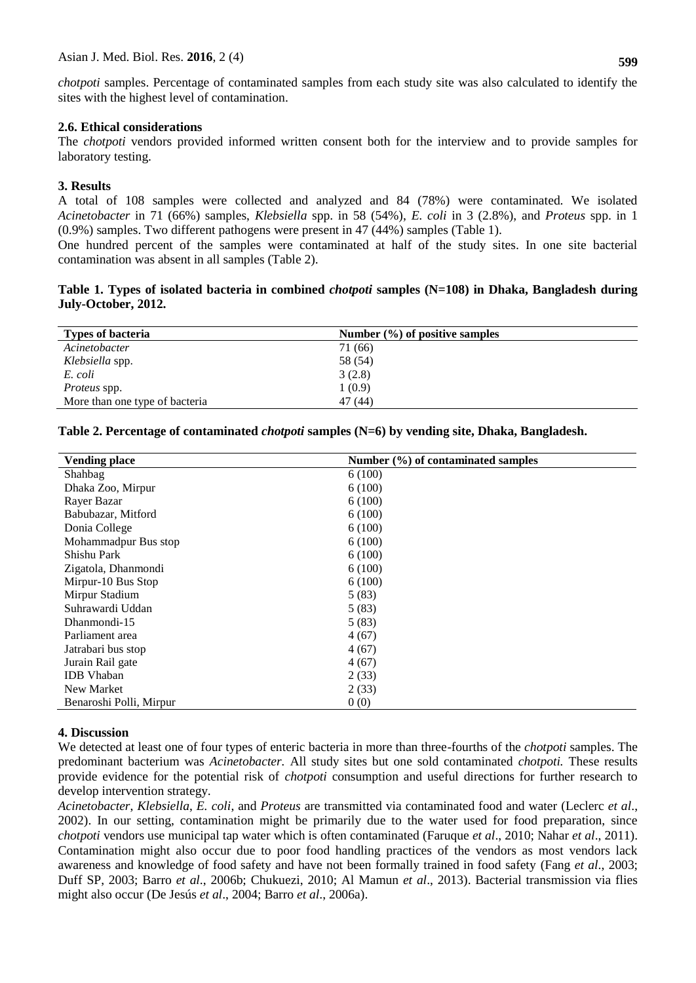*chotpoti* samples. Percentage of contaminated samples from each study site was also calculated to identify the sites with the highest level of contamination.

#### **2.6. Ethical considerations**

The *chotpoti* vendors provided informed written consent both for the interview and to provide samples for laboratory testing.

# **3. Results**

A total of 108 samples were collected and analyzed and 84 (78%) were contaminated. We isolated *Acinetobacter* in 71 (66%) samples, *Klebsiella* spp. in 58 (54%), *E. coli* in 3 (2.8%), and *Proteus* spp. in 1 (0.9%) samples. Two different pathogens were present in 47 (44%) samples (Table 1).

One hundred percent of the samples were contaminated at half of the study sites. In one site bacterial contamination was absent in all samples (Table 2).

# **Table 1. Types of isolated bacteria in combined** *chotpoti* **samples (N=108) in Dhaka, Bangladesh during July-October, 2012.**

| Number $(\%)$ of positive samples |
|-----------------------------------|
| 71 (66)                           |
| 58 (54)                           |
| 3(2.8)                            |
| 1(0.9)                            |
| 47 (44)                           |
|                                   |

**Table 2. Percentage of contaminated** *chotpoti* **samples (N=6) by vending site, Dhaka, Bangladesh.**

| <b>Vending place</b>    | Number (%) of contaminated samples |
|-------------------------|------------------------------------|
| Shahbag                 | 6(100)                             |
| Dhaka Zoo, Mirpur       | 6(100)                             |
| Rayer Bazar             | 6(100)                             |
| Babubazar, Mitford      | 6(100)                             |
| Donia College           | 6(100)                             |
| Mohammadpur Bus stop    | 6(100)                             |
| Shishu Park             | 6(100)                             |
| Zigatola, Dhanmondi     | 6(100)                             |
| Mirpur-10 Bus Stop      | 6(100)                             |
| Mirpur Stadium          | 5(83)                              |
| Suhrawardi Uddan        | 5(83)                              |
| Dhanmondi-15            | 5(83)                              |
| Parliament area         | 4(67)                              |
| Jatrabari bus stop      | 4(67)                              |
| Jurain Rail gate        | 4(67)                              |
| <b>IDB</b> Vhaban       | 2(33)                              |
| New Market              | 2(33)                              |
| Benaroshi Polli, Mirpur | 0(0)                               |

## **4. Discussion**

We detected at least one of four types of enteric bacteria in more than three-fourths of the *chotpoti* samples. The predominant bacterium was *Acinetobacter.* All study sites but one sold contaminated *chotpoti.* These results provide evidence for the potential risk of *chotpoti* consumption and useful directions for further research to develop intervention strategy.

*Acinetobacter*, *Klebsiella*, *E. coli*, and *Proteus* are transmitted via contaminated food and water (Leclerc *et al*., 2002). In our setting, contamination might be primarily due to the water used for food preparation, since *chotpoti* vendors use municipal tap water which is often contaminated (Faruque *et al*., 2010; Nahar *et al*., 2011). Contamination might also occur due to poor food handling practices of the vendors as most vendors lack awareness and knowledge of food safety and have not been formally trained in food safety (Fang *et al*., 2003; Duff SP, 2003; Barro *et al*., 2006b; Chukuezi, 2010; Al Mamun *et al*., 2013). Bacterial transmission via flies might also occur (De Jesús *et al*., 2004; Barro *et al*., 2006a).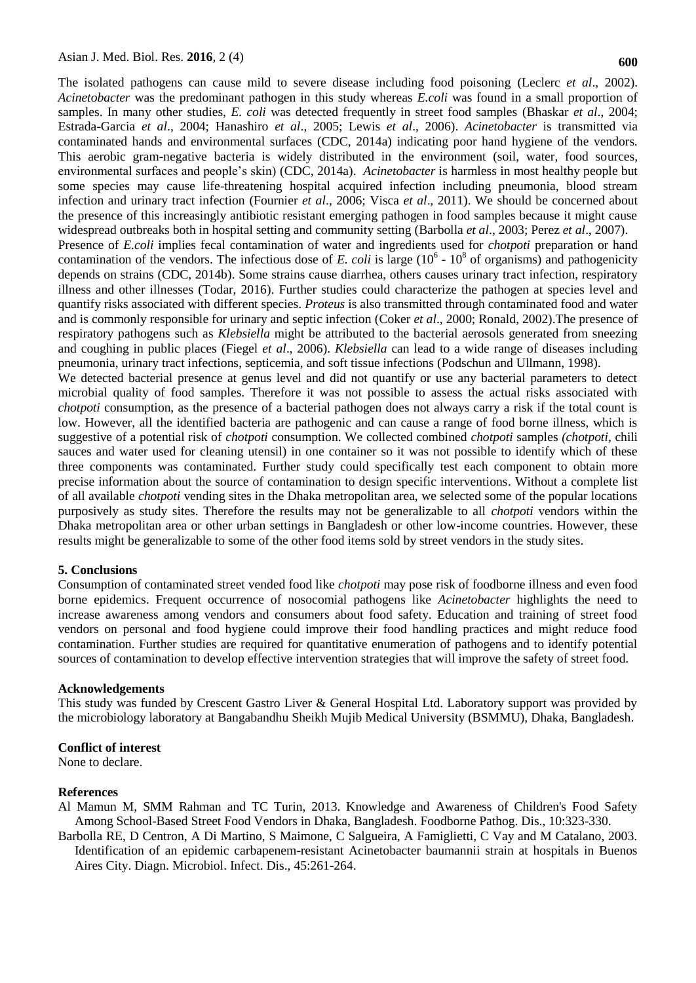The isolated pathogens can cause mild to severe disease including food poisoning (Leclerc *et al*., 2002). *Acinetobacter* was the predominant pathogen in this study whereas *E.coli* was found in a small proportion of samples. In many other studies, *E. coli* was detected frequently in street food samples (Bhaskar *et al*., 2004; Estrada-Garcia *et al*., 2004; Hanashiro *et al*., 2005; Lewis *et al*., 2006). *Acinetobacter* is transmitted via contaminated hands and environmental surfaces (CDC, 2014a) indicating poor hand hygiene of the vendors. This aerobic gram-negative bacteria is widely distributed in the environment (soil, water, food sources, environmental surfaces and people's skin) (CDC, 2014a). *Acinetobacter* is harmless in most healthy people but some species may cause life-threatening hospital acquired infection including pneumonia, blood stream infection and urinary tract infection (Fournier *et al*., 2006; Visca *et al*., 2011). We should be concerned about the presence of this increasingly antibiotic resistant emerging pathogen in food samples because it might cause widespread outbreaks both in hospital setting and community setting (Barbolla *et al*., 2003; Perez *et al*., 2007). Presence of *E.coli* implies fecal contamination of water and ingredients used for *chotpoti* preparation or hand contamination of the vendors. The infectious dose of *E. coli* is large  $(10<sup>6</sup> - 10<sup>8</sup>$  of organisms) and pathogenicity depends on strains (CDC, 2014b). Some strains cause diarrhea, others causes urinary tract infection, respiratory illness and other illnesses (Todar, 2016). Further studies could characterize the pathogen at species level and quantify risks associated with different species. *Proteus* is also transmitted through contaminated food and water and is commonly responsible for urinary and septic infection (Coker *et al*., 2000; Ronald, 2002).The presence of respiratory pathogens such as *Klebsiella* might be attributed to the bacterial aerosols generated from sneezing and coughing in public places (Fiegel *et al*., 2006). *Klebsiella* can lead to a wide range of diseases including [pneumonia,](http://en.wikipedia.org/wiki/Pneumonia) [urinary tract infections,](http://en.wikipedia.org/wiki/Urinary_tract_infection) [septicemia,](http://en.wikipedia.org/wiki/Septicemia) and soft tissue infections (Podschun and Ullmann, 1998). We detected bacterial presence at genus level and did not quantify or use any bacterial parameters to detect microbial quality of food samples. Therefore it was not possible to assess the actual risks associated with *chotpoti* consumption, as the presence of a bacterial pathogen does not always carry a risk if the total count is low. However, all the identified bacteria are pathogenic and can cause a range of food borne illness, which is suggestive of a potential risk of *chotpoti* consumption. We collected combined *chotpoti* samples *(chotpoti*, chili sauces and water used for cleaning utensil) in one container so it was not possible to identify which of these three components was contaminated. Further study could specifically test each component to obtain more

precise information about the source of contamination to design specific interventions. Without a complete list of all available *chotpoti* vending sites in the Dhaka metropolitan area, we selected some of the popular locations purposively as study sites. Therefore the results may not be generalizable to all *chotpoti* vendors within the Dhaka metropolitan area or other urban settings in Bangladesh or other low-income countries. However, these results might be generalizable to some of the other food items sold by street vendors in the study sites.

#### **5. Conclusions**

Consumption of contaminated street vended food like *chotpoti* may pose risk of foodborne illness and even food borne epidemics. Frequent occurrence of nosocomial pathogens like *Acinetobacter* highlights the need to increase awareness among vendors and consumers about food safety. Education and training of street food vendors on personal and food hygiene could improve their food handling practices and might reduce food contamination. Further studies are required for quantitative enumeration of pathogens and to identify potential sources of contamination to develop effective intervention strategies that will improve the safety of street food.

#### **Acknowledgements**

This study was funded by Crescent Gastro Liver & General Hospital Ltd. Laboratory support was provided by the microbiology laboratory at Bangabandhu Sheikh Mujib Medical University (BSMMU), Dhaka, Bangladesh.

## **Conflict of interest**

None to declare.

#### **References**

Al Mamun M, SMM Rahman and TC Turin, 2013. Knowledge and Awareness of Children's Food Safety Among School-Based Street Food Vendors in Dhaka, Bangladesh. Foodborne Pathog. Dis., 10:323-330.

Barbolla RE, D Centron, A Di Martino, S Maimone, C Salgueira, A Famiglietti, C Vay and M Catalano, 2003. Identification of an epidemic carbapenem-resistant Acinetobacter baumannii strain at hospitals in Buenos Aires City. Diagn. Microbiol. Infect. Dis., 45:261-264.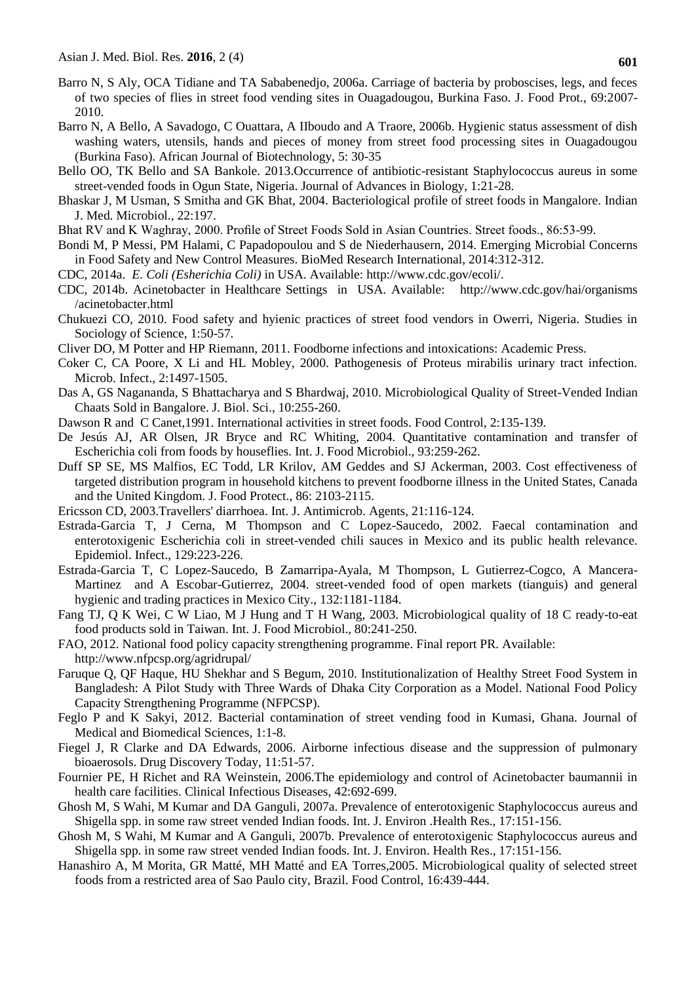- Barro N, S Aly, OCA Tidiane and TA Sababenedjo, 2006a. Carriage of bacteria by proboscises, legs, and feces of two species of flies in street food vending sites in Ouagadougou, Burkina Faso. J. Food Prot., 69:2007- 2010.
- Barro N, A Bello, A Savadogo, C Ouattara, A IIboudo and A Traore, 2006b. Hygienic status assessment of dish washing waters, utensils, hands and pieces of money from street food processing sites in Ouagadougou (Burkina Faso). African Journal of Biotechnology, 5: 30-35
- Bello OO, TK Bello and SA Bankole. 2013.Occurrence of antibiotic-resistant Staphylococcus aureus in some street-vended foods in Ogun State, Nigeria. Journal of Advances in Biology, 1:21-28.
- Bhaskar J, M Usman, S Smitha and GK Bhat, 2004. Bacteriological profile of street foods in Mangalore. Indian J. Med. Microbiol., 22:197.
- Bhat RV and K Waghray, 2000. Profile of Street Foods Sold in Asian Countries. Street foods., 86:53-99.
- Bondi M, P Messi, PM Halami, C Papadopoulou and S de Niederhausern, 2014. Emerging Microbial Concerns in Food Safety and New Control Measures. BioMed Research International, 2014:312-312.
- CDC, 2014a. *E. Coli (Esherichia Coli)* in USA. Available: http://www.cdc.gov/ecoli/.
- CDC, 2014b. Acinetobacter in Healthcare Settings in USA. Available: http://www.cdc.gov/hai/organisms /acinetobacter.html
- Chukuezi CO, 2010. Food safety and hyienic practices of street food vendors in Owerri, Nigeria. Studies in Sociology of Science, 1:50-57.
- Cliver DO, M Potter and HP Riemann, 2011. Foodborne infections and intoxications: Academic Press.
- Coker C, CA Poore, X Li and HL Mobley, 2000. Pathogenesis of Proteus mirabilis urinary tract infection. Microb. Infect., 2:1497-1505.
- Das A, GS Nagananda, S Bhattacharya and S Bhardwaj, 2010. Microbiological Quality of Street-Vended Indian Chaats Sold in Bangalore. J. Biol. Sci., 10:255-260.
- Dawson R and C Canet,1991. International activities in street foods. Food Control, 2:135-139.
- De Jesús AJ, AR Olsen, JR Bryce and RC Whiting, 2004. Quantitative contamination and transfer of Escherichia coli from foods by houseflies. Int. J. Food Microbiol., 93:259-262.
- Duff SP SE, MS Malfios, EC Todd, LR Krilov, AM Geddes and SJ Ackerman, 2003. Cost effectiveness of targeted distribution program in household kitchens to prevent foodborne illness in the United States, Canada and the United Kingdom. J. Food Protect., 86: 2103-2115.
- Ericsson CD, 2003.Travellers' diarrhoea. Int. J. Antimicrob. Agents, 21:116-124.
- Estrada-Garcia T, J Cerna, M Thompson and C Lopez-Saucedo, 2002. Faecal contamination and enterotoxigenic Escherichia coli in street-vended chili sauces in Mexico and its public health relevance. Epidemiol. Infect., 129:223-226.
- Estrada-Garcia T, C Lopez-Saucedo, B Zamarripa-Ayala, M Thompson, L Gutierrez-Cogco, A Mancera-Martinez and A Escobar-Gutierrez, 2004. street-vended food of open markets (tianguis) and general hygienic and trading practices in Mexico City., 132:1181-1184.
- Fang TJ, Q K Wei, C W Liao, M J Hung and T H Wang, 2003. Microbiological quality of 18 C ready-to-eat food products sold in Taiwan. Int. J. Food Microbiol., 80:241-250.
- FAO, 2012. National food policy capacity strengthening programme. Final report PR. Available: http://www.nfpcsp.org/agridrupal/
- Faruque Q, QF Haque, HU Shekhar and S Begum, 2010. Institutionalization of Healthy Street Food System in Bangladesh: A Pilot Study with Three Wards of Dhaka City Corporation as a Model. National Food Policy Capacity Strengthening Programme (NFPCSP).
- Feglo P and K Sakyi, 2012. Bacterial contamination of street vending food in Kumasi, Ghana. Journal of Medical and Biomedical Sciences, 1:1-8.
- Fiegel J, R Clarke and DA Edwards, 2006. Airborne infectious disease and the suppression of pulmonary bioaerosols. Drug Discovery Today, 11:51-57.
- Fournier PE, H Richet and RA Weinstein, 2006.The epidemiology and control of Acinetobacter baumannii in health care facilities. Clinical Infectious Diseases, 42:692-699.
- Ghosh M, S Wahi, M Kumar and DA Ganguli, 2007a. Prevalence of enterotoxigenic Staphylococcus aureus and Shigella spp. in some raw street vended Indian foods. Int. J. Environ .Health Res., 17:151-156.
- Ghosh M, S Wahi, M Kumar and A Ganguli, 2007b. Prevalence of enterotoxigenic Staphylococcus aureus and Shigella spp. in some raw street vended Indian foods. Int. J. Environ. Health Res., 17:151-156.
- Hanashiro A, M Morita, GR Matté, MH Matté and EA Torres,2005. Microbiological quality of selected street foods from a restricted area of Sao Paulo city, Brazil. Food Control, 16:439-444.